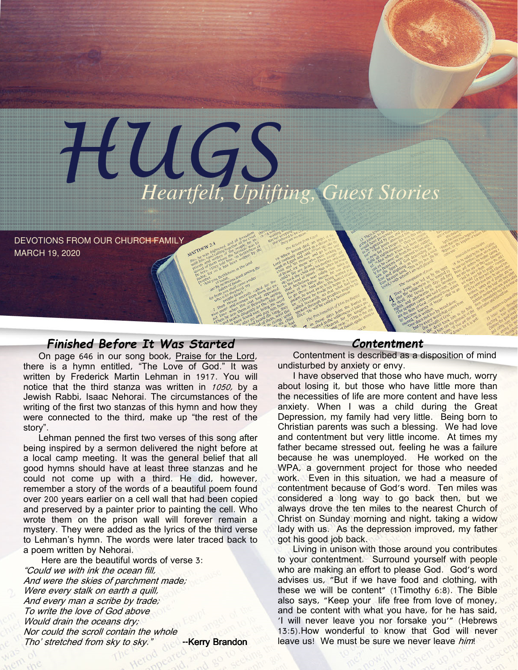

DEVOTIONS FROM OUR CHURCH FAMILY MARCH 19, 2020

## Finished Before It Was Started

On page 646 in our song book, Praise for the Lord, there is a hymn entitled, "The Love of God." It was written by Frederick Martin Lehman in 1917. You will notice that the third stanza was written in 1050, by a Jewish Rabbi, Isaac Nehorai. The circumstances of the writing of the first two stanzas of this hymn and how they were connected to the third, make up "the rest of the story".

Lehman penned the first two verses of this song after being inspired by a sermon delivered the night before at a local camp meeting. It was the general belief that all good hymns should have at least three stanzas and he could not come up with a third. He did, however, remember a story of the words of a beautiful poem found over 200 years earlier on a cell wall that had been copied and preserved by a painter prior to painting the cell. Who wrote them on the prison wall will forever remain a mystery. They were added as the lyrics of the third verse to Lehman's hymn. The words were later traced back to a poem written by Nehorai.

 Here are the beautiful words of verse 3: "Could we with ink the ocean fill, And were the skies of parchment made; Were every stalk on earth a quill, And every man a scribe by trade; To write the love of God above Would drain the oceans dry: Nor could the scroll contain the whole Tho' stretched from sky to sky." -- Kerry Brandon

## Contentment

Contentment is described as a disposition of mind undisturbed by anxiety or envy.

I have observed that those who have much, worry about losing it, but those who have little more than the necessities of life are more content and have less anxiety. When I was a child during the Great Depression, my family had very little. Being born to Christian parents was such a blessing. We had love and contentment but very little income. At times my father became stressed out, feeling he was a failure because he was unemployed. He worked on the WPA, a government project for those who needed work. Even in this situation, we had a measure of contentment because of God's word. Ten miles was considered a long way to go back then, but we always drove the ten miles to the nearest Church of Christ on Sunday morning and night, taking a widow lady with us. As the depression improved, my father got his good job back.

Living in unison with those around you contributes to your contentment. Surround yourself with people who are making an effort to please God. God's word advises us, "But if we have food and clothing, with these we will be content" (1Timothy 6:8). The Bible also says, "Keep your life free from love of money, and be content with what you have, for he has said, 'I will never leave you nor forsake you'" (Hebrews 13:5).How wonderful to know that God will never leave us! We must be sure we never leave him!